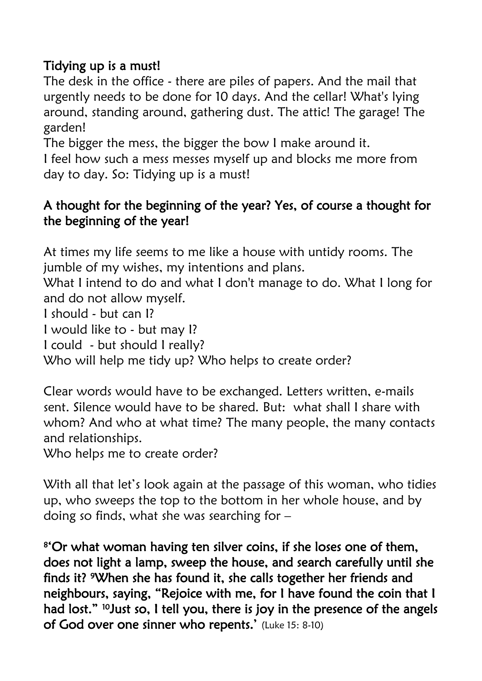## Tidying up is a must!

The desk in the office - there are piles of papers. And the mail that urgently needs to be done for 10 days. And the cellar! What's lying around, standing around, gathering dust. The attic! The garage! The garden!

The bigger the mess, the bigger the bow I make around it.

I feel how such a mess messes myself up and blocks me more from day to day. So: Tidying up is a must!

## A thought for the beginning of the year? Yes, of course a thought for the beginning of the year!

At times my life seems to me like a house with untidy rooms. The jumble of my wishes, my intentions and plans.

What I intend to do and what I don't manage to do. What I long for and do not allow myself.

I should - but can I?

I would like to - but may I?

I could - but should I really?

Who will help me tidy up? Who helps to create order?

Clear words would have to be exchanged. Letters written, e-mails sent. Silence would have to be shared. But: what shall I share with whom? And who at what time? The many people, the many contacts and relationships.

Who helps me to create order?

With all that let's look again at the passage of this woman, who tidies up, who sweeps the top to the bottom in her whole house, and by doing so finds, what she was searching for –

8 'Or what woman having ten silver coins, if she loses one of them, does not light a lamp, sweep the house, and search carefully until she finds it? 9When she has found it, she calls together her friends and neighbours, saying, "Rejoice with me, for I have found the coin that I had lost." <sup>10</sup>Just so, I tell you, there is joy in the presence of the angels of God over one sinner who repents.' (Luke 15: 8-10)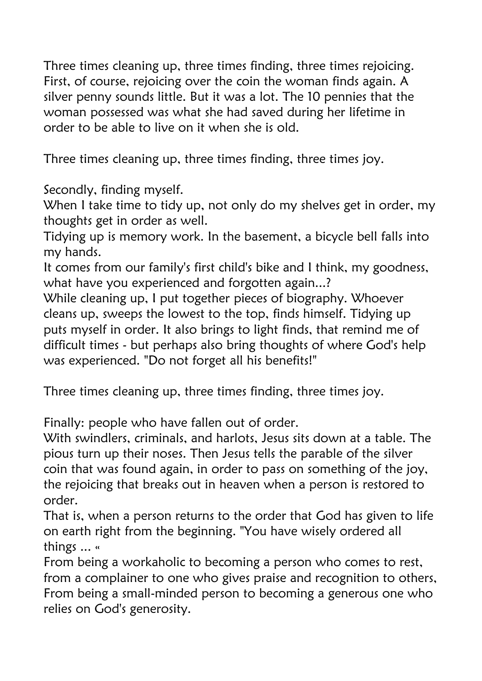Three times cleaning up, three times finding, three times rejoicing. First, of course, rejoicing over the coin the woman finds again. A silver penny sounds little. But it was a lot. The 10 pennies that the woman possessed was what she had saved during her lifetime in order to be able to live on it when she is old.

Three times cleaning up, three times finding, three times joy.

Secondly, finding myself.

When I take time to tidy up, not only do my shelves get in order, my thoughts get in order as well.

Tidying up is memory work. In the basement, a bicycle bell falls into my hands.

It comes from our family's first child's bike and I think, my goodness, what have you experienced and forgotten again...?

While cleaning up, I put together pieces of biography. Whoever cleans up, sweeps the lowest to the top, finds himself. Tidying up puts myself in order. It also brings to light finds, that remind me of difficult times - but perhaps also bring thoughts of where God's help was experienced. "Do not forget all his benefits!"

Three times cleaning up, three times finding, three times joy.

Finally: people who have fallen out of order.

With swindlers, criminals, and harlots, Jesus sits down at a table. The pious turn up their noses. Then Jesus tells the parable of the silver coin that was found again, in order to pass on something of the joy, the rejoicing that breaks out in heaven when a person is restored to order.

That is, when a person returns to the order that God has given to life on earth right from the beginning. "You have wisely ordered all things ... «

From being a workaholic to becoming a person who comes to rest, from a complainer to one who gives praise and recognition to others, From being a small-minded person to becoming a generous one who relies on God's generosity.